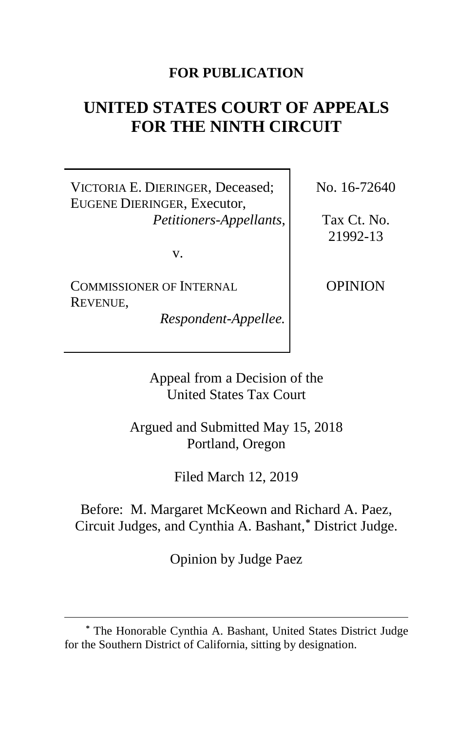# **FOR PUBLICATION**

# **UNITED STATES COURT OF APPEALS FOR THE NINTH CIRCUIT**

VICTORIA E. DIERINGER, Deceased; EUGENE DIERINGER, Executor, *Petitioners-Appellants*,

v.

COMMISSIONER OF INTERNAL REVENUE,

 $\overline{a}$ 

*Respondent-Appellee.*

No. 16-72640

Tax Ct. No. 21992-13

OPINION

Appeal from a Decision of the United States Tax Court

Argued and Submitted May 15, 2018 Portland, Oregon

Filed March 12, 2019

Before: M. Margaret McKeown and Richard A. Paez, Circuit Judges, and Cynthia A. Bashant,**[\\*](#page-0-0)** District Judge.

Opinion by Judge Paez

<span id="page-0-0"></span>**<sup>\*</sup>** The Honorable Cynthia A. Bashant, United States District Judge for the Southern District of California, sitting by designation.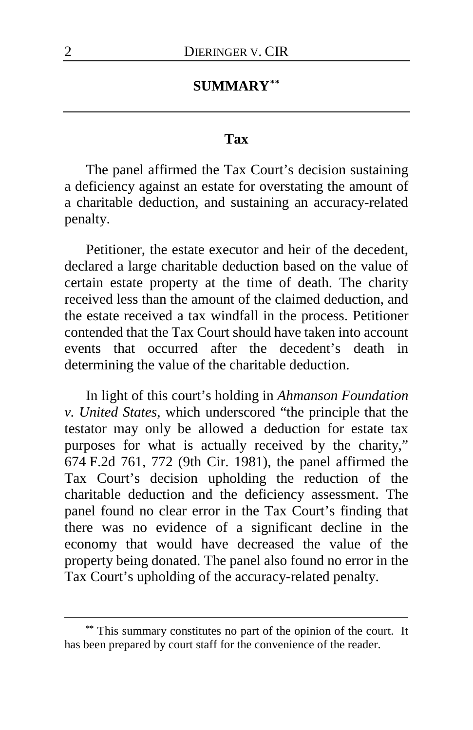## **SUMMARY[\\*\\*](#page-1-0)**

## **Tax**

The panel affirmed the Tax Court's decision sustaining a deficiency against an estate for overstating the amount of a charitable deduction, and sustaining an accuracy-related penalty.

Petitioner, the estate executor and heir of the decedent, declared a large charitable deduction based on the value of certain estate property at the time of death. The charity received less than the amount of the claimed deduction, and the estate received a tax windfall in the process. Petitioner contended that the Tax Court should have taken into account events that occurred after the decedent's death in determining the value of the charitable deduction.

In light of this court's holding in *Ahmanson Foundation v. United States*, which underscored "the principle that the testator may only be allowed a deduction for estate tax purposes for what is actually received by the charity," 674 F.2d 761, 772 (9th Cir. 1981), the panel affirmed the Tax Court's decision upholding the reduction of the charitable deduction and the deficiency assessment. The panel found no clear error in the Tax Court's finding that there was no evidence of a significant decline in the economy that would have decreased the value of the property being donated. The panel also found no error in the Tax Court's upholding of the accuracy-related penalty.

<span id="page-1-0"></span>**<sup>\*\*</sup>** This summary constitutes no part of the opinion of the court. It has been prepared by court staff for the convenience of the reader.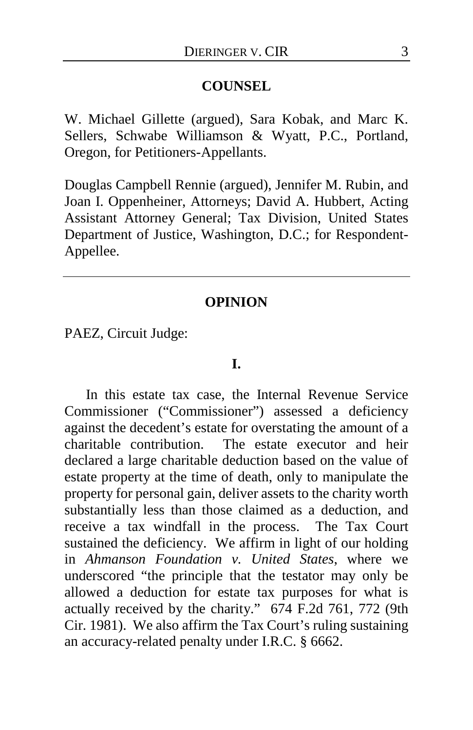### **COUNSEL**

W. Michael Gillette (argued), Sara Kobak, and Marc K. Sellers, Schwabe Williamson & Wyatt, P.C., Portland, Oregon, for Petitioners-Appellants.

Douglas Campbell Rennie (argued), Jennifer M. Rubin, and Joan I. Oppenheiner, Attorneys; David A. Hubbert, Acting Assistant Attorney General; Tax Division, United States Department of Justice, Washington, D.C.; for Respondent-Appellee.

#### **OPINION**

PAEZ, Circuit Judge:

#### **I.**

In this estate tax case, the Internal Revenue Service Commissioner ("Commissioner") assessed a deficiency against the decedent's estate for overstating the amount of a charitable contribution. The estate executor and heir declared a large charitable deduction based on the value of estate property at the time of death, only to manipulate the property for personal gain, deliver assets to the charity worth substantially less than those claimed as a deduction, and receive a tax windfall in the process. The Tax Court sustained the deficiency. We affirm in light of our holding in *Ahmanson Foundation v. United States*, where we underscored "the principle that the testator may only be allowed a deduction for estate tax purposes for what is actually received by the charity." 674 F.2d 761, 772 (9th Cir. 1981). We also affirm the Tax Court's ruling sustaining an accuracy-related penalty under I.R.C. § 6662.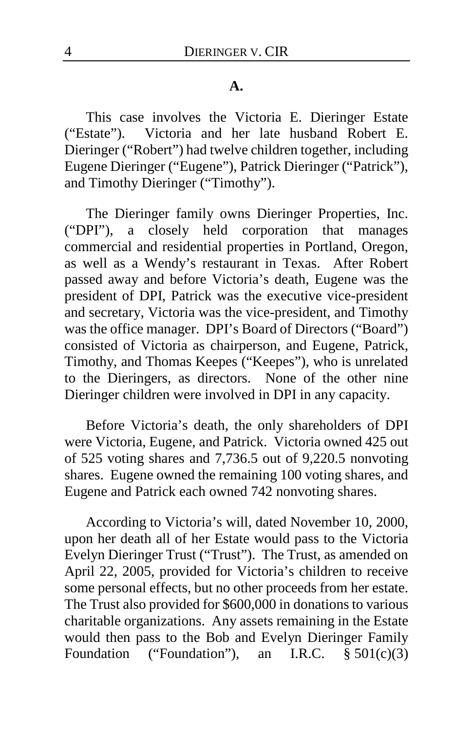#### **A.**

This case involves the Victoria E. Dieringer Estate ("Estate"). Victoria and her late husband Robert E. Dieringer ("Robert") had twelve children together, including Eugene Dieringer ("Eugene"), Patrick Dieringer ("Patrick"), and Timothy Dieringer ("Timothy").

The Dieringer family owns Dieringer Properties, Inc. ("DPI"), a closely held corporation that manages commercial and residential properties in Portland, Oregon, as well as a Wendy's restaurant in Texas. After Robert passed away and before Victoria's death, Eugene was the president of DPI, Patrick was the executive vice-president and secretary, Victoria was the vice-president, and Timothy was the office manager. DPI's Board of Directors ("Board") consisted of Victoria as chairperson, and Eugene, Patrick, Timothy, and Thomas Keepes ("Keepes"), who is unrelated to the Dieringers, as directors. None of the other nine Dieringer children were involved in DPI in any capacity.

Before Victoria's death, the only shareholders of DPI were Victoria, Eugene, and Patrick. Victoria owned 425 out of 525 voting shares and 7,736.5 out of 9,220.5 nonvoting shares. Eugene owned the remaining 100 voting shares, and Eugene and Patrick each owned 742 nonvoting shares.

According to Victoria's will, dated November 10, 2000, upon her death all of her Estate would pass to the Victoria Evelyn Dieringer Trust ("Trust"). The Trust, as amended on April 22, 2005, provided for Victoria's children to receive some personal effects, but no other proceeds from her estate. The Trust also provided for \$600,000 in donations to various charitable organizations. Any assets remaining in the Estate would then pass to the Bob and Evelyn Dieringer Family Foundation ("Foundation"), an I.R.C.  $\S 501(c)(3)$ Foundation ("Foundation"),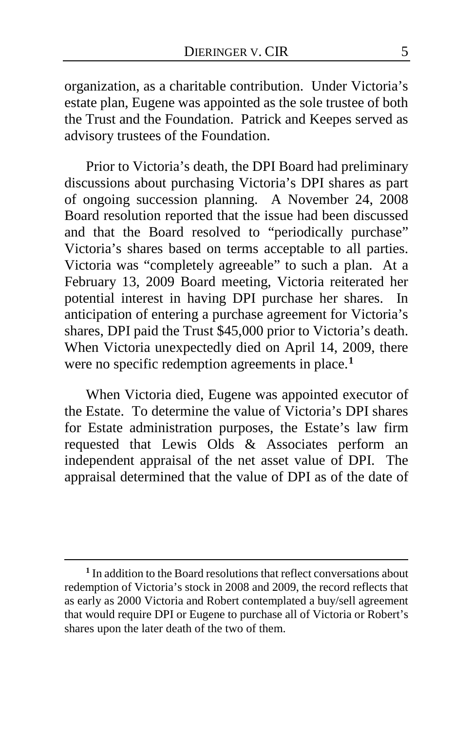organization, as a charitable contribution. Under Victoria's estate plan, Eugene was appointed as the sole trustee of both the Trust and the Foundation. Patrick and Keepes served as advisory trustees of the Foundation.

Prior to Victoria's death, the DPI Board had preliminary discussions about purchasing Victoria's DPI shares as part of ongoing succession planning. A November 24, 2008 Board resolution reported that the issue had been discussed and that the Board resolved to "periodically purchase" Victoria's shares based on terms acceptable to all parties. Victoria was "completely agreeable" to such a plan.At a February 13, 2009 Board meeting, Victoria reiterated her potential interest in having DPI purchase her shares. In anticipation of entering a purchase agreement for Victoria's shares, DPI paid the Trust \$45,000 prior to Victoria's death. When Victoria unexpectedly died on April 14, 2009, there were no specific redemption agreements in place.**[1](#page-4-0)**

When Victoria died, Eugene was appointed executor of the Estate. To determine the value of Victoria's DPI shares for Estate administration purposes, the Estate's law firm requested that Lewis Olds & Associates perform an independent appraisal of the net asset value of DPI. The appraisal determined that the value of DPI as of the date of

<span id="page-4-0"></span>**<sup>1</sup>** In addition to the Board resolutions that reflect conversations about redemption of Victoria's stock in 2008 and 2009, the record reflects that as early as 2000 Victoria and Robert contemplated a buy/sell agreement that would require DPI or Eugene to purchase all of Victoria or Robert's shares upon the later death of the two of them.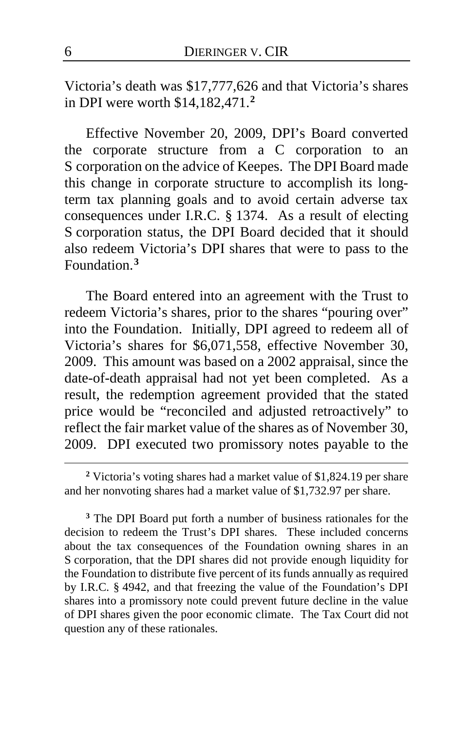Victoria's death was \$17,777,626 and that Victoria's shares in DPI were worth \$14,182,471.**[2](#page-5-0)**

Effective November 20, 2009, DPI's Board converted the corporate structure from a C corporation to an S corporation on the advice of Keepes. The DPI Board made this change in corporate structure to accomplish its longterm tax planning goals and to avoid certain adverse tax consequences under I.R.C. § 1374. As a result of electing S corporation status, the DPI Board decided that it should also redeem Victoria's DPI shares that were to pass to the Foundation.**[3](#page-5-1)**

The Board entered into an agreement with the Trust to redeem Victoria's shares, prior to the shares "pouring over" into the Foundation. Initially, DPI agreed to redeem all of Victoria's shares for \$6,071,558, effective November 30, 2009. This amount was based on a 2002 appraisal, since the date-of-death appraisal had not yet been completed. As a result, the redemption agreement provided that the stated price would be "reconciled and adjusted retroactively" to reflect the fair market value of the shares as of November 30, 2009. DPI executed two promissory notes payable to the

<span id="page-5-0"></span>**<sup>2</sup>** Victoria's voting shares had a market value of \$1,824.19 per share and her nonvoting shares had a market value of \$1,732.97 per share.

<span id="page-5-1"></span>**<sup>3</sup>** The DPI Board put forth a number of business rationales for the decision to redeem the Trust's DPI shares. These included concerns about the tax consequences of the Foundation owning shares in an S corporation, that the DPI shares did not provide enough liquidity for the Foundation to distribute five percent of its funds annually as required by I.R.C. § 4942, and that freezing the value of the Foundation's DPI shares into a promissory note could prevent future decline in the value of DPI shares given the poor economic climate. The Tax Court did not question any of these rationales.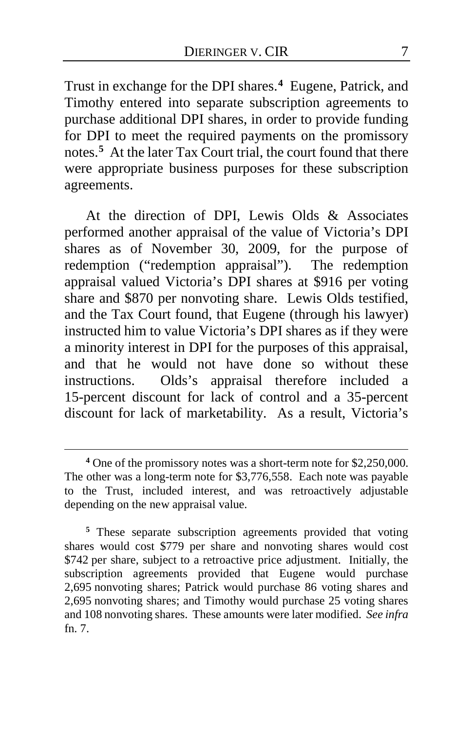Trust in exchange for the DPI shares.**[4](#page-6-0)** Eugene, Patrick, and Timothy entered into separate subscription agreements to purchase additional DPI shares, in order to provide funding for DPI to meet the required payments on the promissory notes.**[5](#page-6-1)** At the later Tax Court trial, the court found that there were appropriate business purposes for these subscription agreements.

At the direction of DPI, Lewis Olds & Associates performed another appraisal of the value of Victoria's DPI shares as of November 30, 2009, for the purpose of redemption ("redemption appraisal"). The redemption appraisal valued Victoria's DPI shares at \$916 per voting share and \$870 per nonvoting share. Lewis Olds testified, and the Tax Court found, that Eugene (through his lawyer) instructed him to value Victoria's DPI shares as if they were a minority interest in DPI for the purposes of this appraisal, and that he would not have done so without these instructions. Olds's appraisal therefore included a 15-percent discount for lack of control and a 35-percent discount for lack of marketability. As a result, Victoria's

<span id="page-6-0"></span>**<sup>4</sup>** One of the promissory notes was a short-term note for \$2,250,000. The other was a long-term note for \$3,776,558. Each note was payable to the Trust, included interest, and was retroactively adjustable depending on the new appraisal value.

<span id="page-6-1"></span>**<sup>5</sup>** These separate subscription agreements provided that voting shares would cost \$779 per share and nonvoting shares would cost \$742 per share, subject to a retroactive price adjustment. Initially, the subscription agreements provided that Eugene would purchase 2,695 nonvoting shares; Patrick would purchase 86 voting shares and 2,695 nonvoting shares; and Timothy would purchase 25 voting shares and 108 nonvoting shares. These amounts were later modified. *See infra*  fn. 7.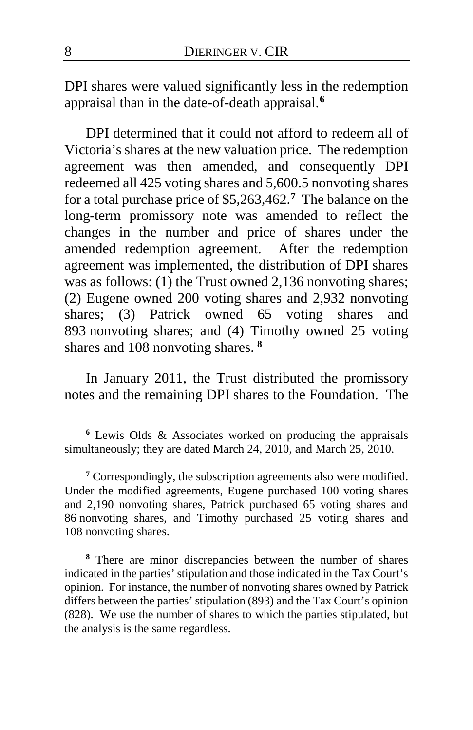DPI shares were valued significantly less in the redemption appraisal than in the date-of-death appraisal.**[6](#page-7-0)**

DPI determined that it could not afford to redeem all of Victoria's shares at the new valuation price. The redemption agreement was then amended, and consequently DPI redeemed all 425 voting shares and 5,600.5 nonvoting shares for a total purchase price of \$5,263,462.**[7](#page-7-1)** The balance on the long-term promissory note was amended to reflect the changes in the number and price of shares under the amended redemption agreement. After the redemption agreement was implemented, the distribution of DPI shares was as follows: (1) the Trust owned 2,136 nonvoting shares; (2) Eugene owned 200 voting shares and 2,932 nonvoting shares; (3) Patrick owned 65 voting shares and 893 nonvoting shares; and (4) Timothy owned 25 voting shares and 108 nonvoting shares. **[8](#page-7-2)**

In January 2011, the Trust distributed the promissory notes and the remaining DPI shares to the Foundation. The

<span id="page-7-1"></span>**<sup>7</sup>** Correspondingly, the subscription agreements also were modified. Under the modified agreements, Eugene purchased 100 voting shares and 2,190 nonvoting shares, Patrick purchased 65 voting shares and 86 nonvoting shares, and Timothy purchased 25 voting shares and 108 nonvoting shares.

<span id="page-7-2"></span>**<sup>8</sup>** There are minor discrepancies between the number of shares indicated in the parties' stipulation and those indicated in the Tax Court's opinion. For instance, the number of nonvoting shares owned by Patrick differs between the parties' stipulation (893) and the Tax Court's opinion (828).We use the number of shares to which the parties stipulated, but the analysis is the same regardless.

<span id="page-7-0"></span>**<sup>6</sup>** Lewis Olds & Associates worked on producing the appraisals simultaneously; they are dated March 24, 2010, and March 25, 2010.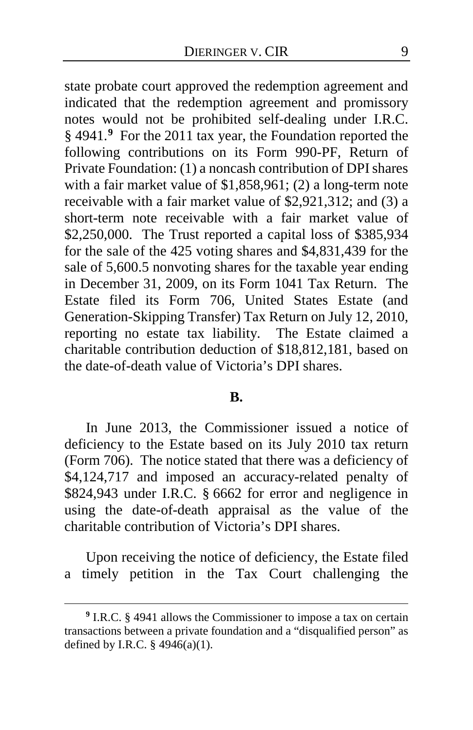state probate court approved the redemption agreement and indicated that the redemption agreement and promissory notes would not be prohibited self-dealing under I.R.C. § 4941.**[9](#page-8-0)** For the 2011 tax year, the Foundation reported the following contributions on its Form 990-PF, Return of Private Foundation: (1) a noncash contribution of DPI shares with a fair market value of \$1,858,961; (2) a long-term note receivable with a fair market value of \$2,921,312; and (3) a short-term note receivable with a fair market value of \$2,250,000. The Trust reported a capital loss of \$385,934 for the sale of the 425 voting shares and \$4,831,439 for the sale of 5,600.5 nonvoting shares for the taxable year ending in December 31, 2009, on its Form 1041 Tax Return. The Estate filed its Form 706, United States Estate (and Generation-Skipping Transfer) Tax Return on July 12, 2010, reporting no estate tax liability. The Estate claimed a charitable contribution deduction of \$18,812,181, based on the date-of-death value of Victoria's DPI shares.

## **B.**

In June 2013, the Commissioner issued a notice of deficiency to the Estate based on its July 2010 tax return (Form 706). The notice stated that there was a deficiency of \$4,124,717 and imposed an accuracy-related penalty of \$824,943 under I.R.C. § 6662 for error and negligence in using the date-of-death appraisal as the value of the charitable contribution of Victoria's DPI shares.

Upon receiving the notice of deficiency, the Estate filed a timely petition in the Tax Court challenging the

<span id="page-8-0"></span>**<sup>9</sup>** I.R.C. § 4941 allows the Commissioner to impose a tax on certain transactions between a private foundation and a "disqualified person" as defined by I.R.C.  $\S$  4946(a)(1).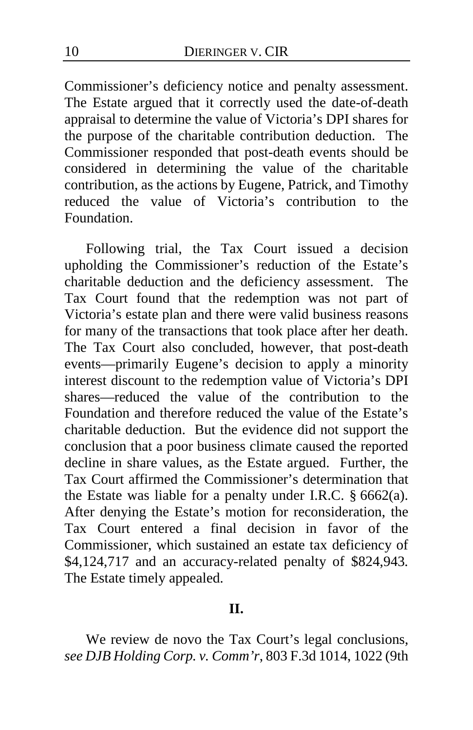Commissioner's deficiency notice and penalty assessment. The Estate argued that it correctly used the date-of-death appraisal to determine the value of Victoria's DPI shares for the purpose of the charitable contribution deduction. The Commissioner responded that post-death events should be considered in determining the value of the charitable contribution, as the actions by Eugene, Patrick, and Timothy reduced the value of Victoria's contribution to the Foundation.

Following trial, the Tax Court issued a decision upholding the Commissioner's reduction of the Estate's charitable deduction and the deficiency assessment. The Tax Court found that the redemption was not part of Victoria's estate plan and there were valid business reasons for many of the transactions that took place after her death. The Tax Court also concluded, however, that post-death events—primarily Eugene's decision to apply a minority interest discount to the redemption value of Victoria's DPI shares—reduced the value of the contribution to the Foundation and therefore reduced the value of the Estate's charitable deduction. But the evidence did not support the conclusion that a poor business climate caused the reported decline in share values, as the Estate argued. Further, the Tax Court affirmed the Commissioner's determination that the Estate was liable for a penalty under I.R.C. § 6662(a). After denying the Estate's motion for reconsideration, the Tax Court entered a final decision in favor of the Commissioner, which sustained an estate tax deficiency of \$4,124,717 and an accuracy-related penalty of \$824,943*.*  The Estate timely appealed.

## **II.**

We review de novo the Tax Court's legal conclusions, *see DJB Holding Corp. v. Comm'r*, 803 F.3d 1014, 1022 (9th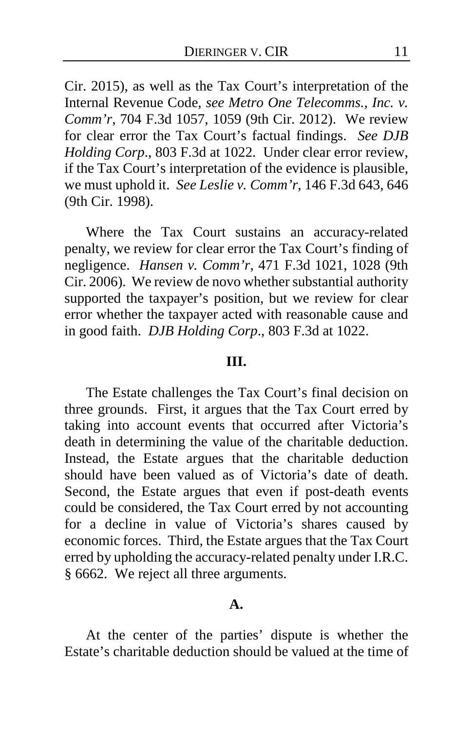Cir. 2015), as well as the Tax Court's interpretation of the Internal Revenue Code, *see Metro One Telecomms., Inc. v. Comm'r*, 704 F.3d 1057, 1059 (9th Cir. 2012). We review for clear error the Tax Court's factual findings. *See DJB Holding Corp*., 803 F.3d at 1022. Under clear error review, if the Tax Court's interpretation of the evidence is plausible, we must uphold it. *See Leslie v. Comm'r*, 146 F.3d 643, 646 (9th Cir. 1998).

Where the Tax Court sustains an accuracy-related penalty, we review for clear error the Tax Court's finding of negligence. *Hansen v. Comm'r*, 471 F.3d 1021, 1028 (9th Cir. 2006). We review de novo whether substantial authority supported the taxpayer's position, but we review for clear error whether the taxpayer acted with reasonable cause and in good faith. *DJB Holding Corp*., 803 F.3d at 1022.

## **III.**

The Estate challenges the Tax Court's final decision on three grounds. First, it argues that the Tax Court erred by taking into account events that occurred after Victoria's death in determining the value of the charitable deduction. Instead, the Estate argues that the charitable deduction should have been valued as of Victoria's date of death. Second, the Estate argues that even if post-death events could be considered, the Tax Court erred by not accounting for a decline in value of Victoria's shares caused by economic forces. Third, the Estate argues that the Tax Court erred by upholding the accuracy-related penalty under I.R.C. § 6662. We reject all three arguments.

## **A.**

At the center of the parties' dispute is whether the Estate's charitable deduction should be valued at the time of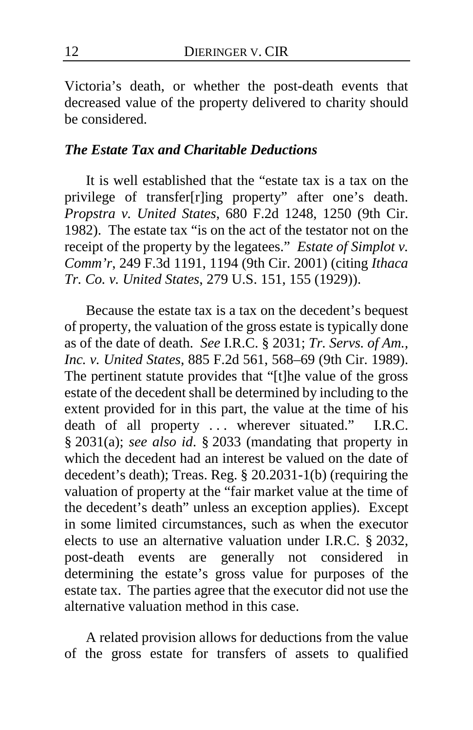Victoria's death, or whether the post-death events that decreased value of the property delivered to charity should be considered.

## *The Estate Tax and Charitable Deductions*

It is well established that the "estate tax is a tax on the privilege of transfer[r]ing property" after one's death. *Propstra v. United States*, 680 F.2d 1248, 1250 (9th Cir. 1982). The estate tax "is on the act of the testator not on the receipt of the property by the legatees." *Estate of Simplot v. Comm'r*, 249 F.3d 1191, 1194 (9th Cir. 2001) (citing *Ithaca Tr. Co. v. United States*, 279 U.S. 151, 155 (1929)).

Because the estate tax is a tax on the decedent's bequest of property, the valuation of the gross estate is typically done as of the date of death. *See* I.R.C. § 2031; *Tr. Servs. of Am., Inc. v. United States*, 885 F.2d 561, 568–69 (9th Cir. 1989). The pertinent statute provides that "[t]he value of the gross estate of the decedent shall be determined by including to the extent provided for in this part, the value at the time of his death of all property ... wherever situated." I.R.C. § 2031(a); *see also id*. § 2033 (mandating that property in which the decedent had an interest be valued on the date of decedent's death); Treas. Reg. § 20.2031-1(b) (requiring the valuation of property at the "fair market value at the time of the decedent's death" unless an exception applies). Except in some limited circumstances, such as when the executor elects to use an alternative valuation under I.R.C. § 2032, post-death events are generally not considered in determining the estate's gross value for purposes of the estate tax. The parties agree that the executor did not use the alternative valuation method in this case.

A related provision allows for deductions from the value of the gross estate for transfers of assets to qualified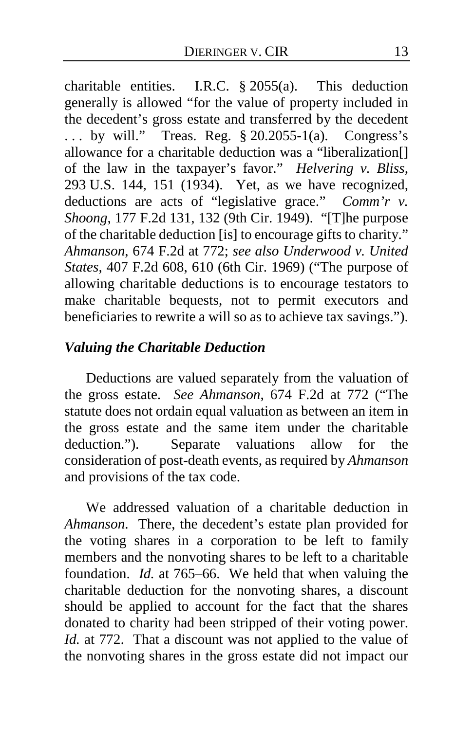charitable entities. I.R.C. § 2055(a). This deduction generally is allowed "for the value of property included in the decedent's gross estate and transferred by the decedent ... by will." Treas. Reg. § 20.2055-1(a). Congress's allowance for a charitable deduction was a "liberalization[] of the law in the taxpayer's favor." *Helvering v. Bliss*, 293 U.S. 144, 151 (1934). Yet, as we have recognized, deductions are acts of "legislative grace." *Comm'r v. Shoong*, 177 F.2d 131, 132 (9th Cir. 1949). "[T]he purpose of the charitable deduction [is] to encourage gifts to charity." *Ahmanson*, 674 F.2d at 772; *see also Underwood v. United States*, 407 F.2d 608, 610 (6th Cir. 1969) ("The purpose of allowing charitable deductions is to encourage testators to make charitable bequests, not to permit executors and beneficiaries to rewrite a will so as to achieve tax savings.").

# *Valuing the Charitable Deduction*

Deductions are valued separately from the valuation of the gross estate. *See Ahmanson*, 674 F.2d at 772 ("The statute does not ordain equal valuation as between an item in the gross estate and the same item under the charitable deduction."). Separate valuations allow for the consideration of post-death events, as required by *Ahmanson* and provisions of the tax code.

We addressed valuation of a charitable deduction in *Ahmanson*. There, the decedent's estate plan provided for the voting shares in a corporation to be left to family members and the nonvoting shares to be left to a charitable foundation. *Id.* at 765–66. We held that when valuing the charitable deduction for the nonvoting shares, a discount should be applied to account for the fact that the shares donated to charity had been stripped of their voting power. *Id.* at 772. That a discount was not applied to the value of the nonvoting shares in the gross estate did not impact our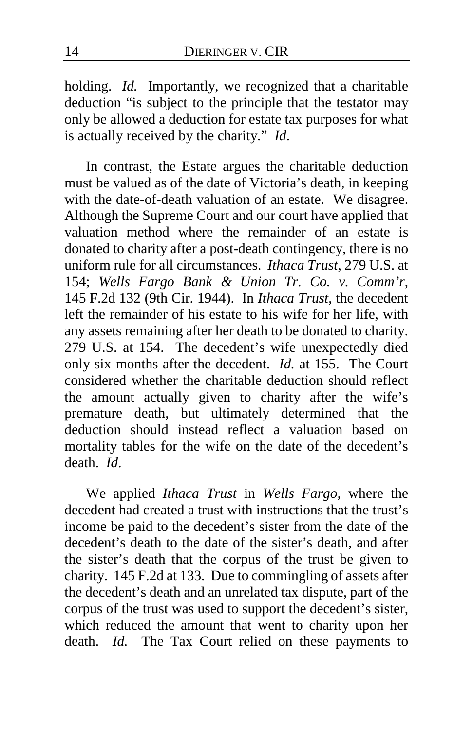holding. *Id.* Importantly, we recognized that a charitable deduction "is subject to the principle that the testator may only be allowed a deduction for estate tax purposes for what is actually received by the charity." *Id*.

In contrast, the Estate argues the charitable deduction must be valued as of the date of Victoria's death, in keeping with the date-of-death valuation of an estate. We disagree. Although the Supreme Court and our court have applied that valuation method where the remainder of an estate is donated to charity after a post-death contingency, there is no uniform rule for all circumstances. *Ithaca Trust*, 279 U.S. at 154; *Wells Fargo Bank & Union Tr. Co. v. Comm'r*, 145 F.2d 132 (9th Cir. 1944). In *Ithaca Trust*, the decedent left the remainder of his estate to his wife for her life, with any assets remaining after her death to be donated to charity. 279 U.S. at 154. The decedent's wife unexpectedly died only six months after the decedent. *Id.* at 155. The Court considered whether the charitable deduction should reflect the amount actually given to charity after the wife's premature death, but ultimately determined that the deduction should instead reflect a valuation based on mortality tables for the wife on the date of the decedent's death. *Id*.

We applied *Ithaca Trust* in *Wells Fargo*, where the decedent had created a trust with instructions that the trust's income be paid to the decedent's sister from the date of the decedent's death to the date of the sister's death, and after the sister's death that the corpus of the trust be given to charity. 145 F.2d at 133. Due to commingling of assets after the decedent's death and an unrelated tax dispute, part of the corpus of the trust was used to support the decedent's sister, which reduced the amount that went to charity upon her death. *Id.* The Tax Court relied on these payments to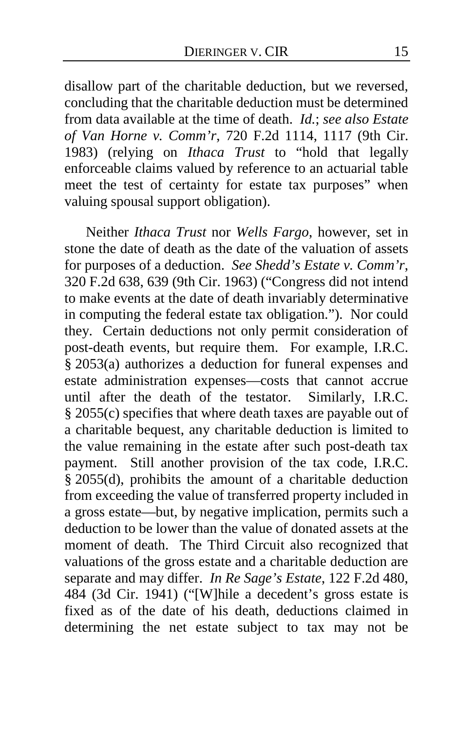disallow part of the charitable deduction, but we reversed, concluding that the charitable deduction must be determined from data available at the time of death. *Id.*; *see also Estate of Van Horne v. Comm'r*, 720 F.2d 1114, 1117 (9th Cir. 1983) (relying on *Ithaca Trust* to "hold that legally enforceable claims valued by reference to an actuarial table meet the test of certainty for estate tax purposes" when valuing spousal support obligation).

Neither *Ithaca Trust* nor *Wells Fargo*, however, set in stone the date of death as the date of the valuation of assets for purposes of a deduction. *See Shedd's Estate v. Comm'r*, 320 F.2d 638, 639 (9th Cir. 1963) ("Congress did not intend to make events at the date of death invariably determinative in computing the federal estate tax obligation."). Nor could they. Certain deductions not only permit consideration of post-death events, but require them. For example, I.R.C. § 2053(a) authorizes a deduction for funeral expenses and estate administration expenses—costs that cannot accrue until after the death of the testator. Similarly, I.R.C. § 2055(c) specifies that where death taxes are payable out of a charitable bequest, any charitable deduction is limited to the value remaining in the estate after such post-death tax payment. Still another provision of the tax code, I.R.C. § 2055(d), prohibits the amount of a charitable deduction from exceeding the value of transferred property included in a gross estate—but, by negative implication, permits such a deduction to be lower than the value of donated assets at the moment of death. The Third Circuit also recognized that valuations of the gross estate and a charitable deduction are separate and may differ. *In Re Sage's Estate*, 122 F.2d 480, 484 (3d Cir. 1941) ("[W]hile a decedent's gross estate is fixed as of the date of his death, deductions claimed in determining the net estate subject to tax may not be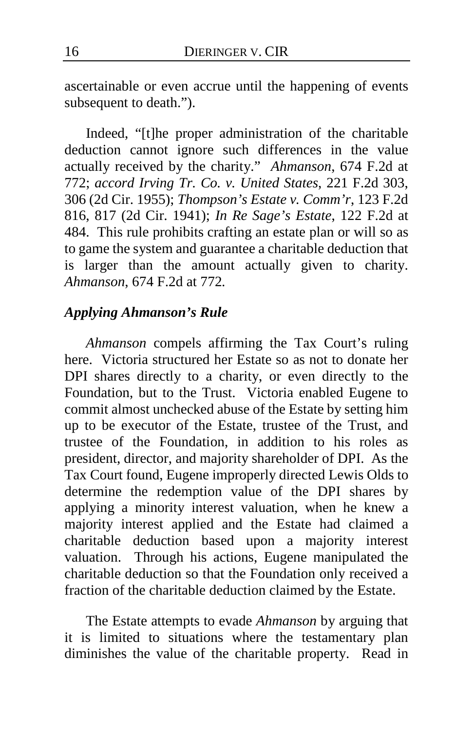ascertainable or even accrue until the happening of events subsequent to death.").

Indeed, "[t]he proper administration of the charitable deduction cannot ignore such differences in the value actually received by the charity." *Ahmanson*, 674 F.2d at 772; *accord Irving Tr. Co. v. United States*, 221 F.2d 303, 306 (2d Cir. 1955); *Thompson's Estate v. Comm'r*, 123 F.2d 816, 817 (2d Cir. 1941); *In Re Sage's Estate*, 122 F.2d at 484. This rule prohibits crafting an estate plan or will so as to game the system and guarantee a charitable deduction that is larger than the amount actually given to charity. *Ahmanson*, 674 F.2d at 772*.*

## *Applying Ahmanson's Rule*

*Ahmanson* compels affirming the Tax Court's ruling here. Victoria structured her Estate so as not to donate her DPI shares directly to a charity, or even directly to the Foundation, but to the Trust. Victoria enabled Eugene to commit almost unchecked abuse of the Estate by setting him up to be executor of the Estate, trustee of the Trust, and trustee of the Foundation, in addition to his roles as president, director, and majority shareholder of DPI. As the Tax Court found, Eugene improperly directed Lewis Olds to determine the redemption value of the DPI shares by applying a minority interest valuation, when he knew a majority interest applied and the Estate had claimed a charitable deduction based upon a majority interest valuation. Through his actions, Eugene manipulated the charitable deduction so that the Foundation only received a fraction of the charitable deduction claimed by the Estate.

The Estate attempts to evade *Ahmanson* by arguing that it is limited to situations where the testamentary plan diminishes the value of the charitable property. Read in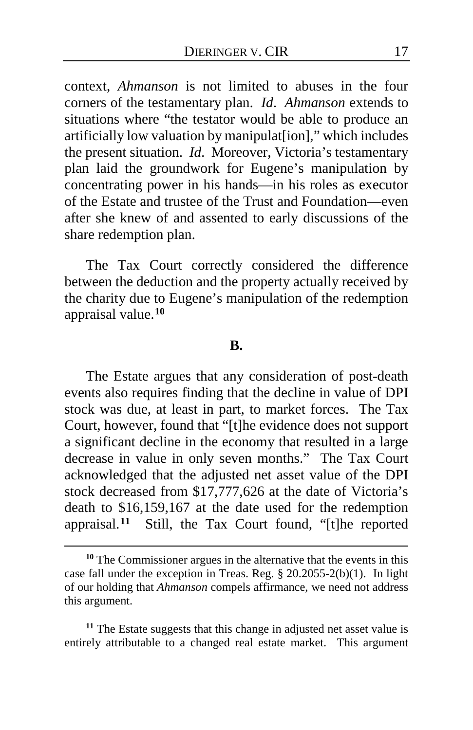context, *Ahmanson* is not limited to abuses in the four corners of the testamentary plan. *Id*. *Ahmanson* extends to situations where "the testator would be able to produce an artificially low valuation by manipulat[ion]," which includes the present situation. *Id*. Moreover, Victoria's testamentary plan laid the groundwork for Eugene's manipulation by concentrating power in his hands—in his roles as executor of the Estate and trustee of the Trust and Foundation—even after she knew of and assented to early discussions of the share redemption plan.

The Tax Court correctly considered the difference between the deduction and the property actually received by the charity due to Eugene's manipulation of the redemption appraisal value.**[10](#page-16-0)**

#### **B.**

The Estate argues that any consideration of post-death events also requires finding that the decline in value of DPI stock was due, at least in part, to market forces. The Tax Court, however, found that "[t]he evidence does not support a significant decline in the economy that resulted in a large decrease in value in only seven months." The Tax Court acknowledged that the adjusted net asset value of the DPI stock decreased from \$17,777,626 at the date of Victoria's death to \$16,159,167 at the date used for the redemption appraisal.**[11](#page-16-1)** Still, the Tax Court found, "[t]he reported

 $\overline{a}$ 

<span id="page-16-1"></span>**<sup>11</sup>** The Estate suggests that this change in adjusted net asset value is entirely attributable to a changed real estate market. This argument

<span id="page-16-0"></span>**<sup>10</sup>** The Commissioner argues in the alternative that the events in this case fall under the exception in Treas. Reg. § 20.2055-2(b)(1). In light of our holding that *Ahmanson* compels affirmance, we need not address this argument.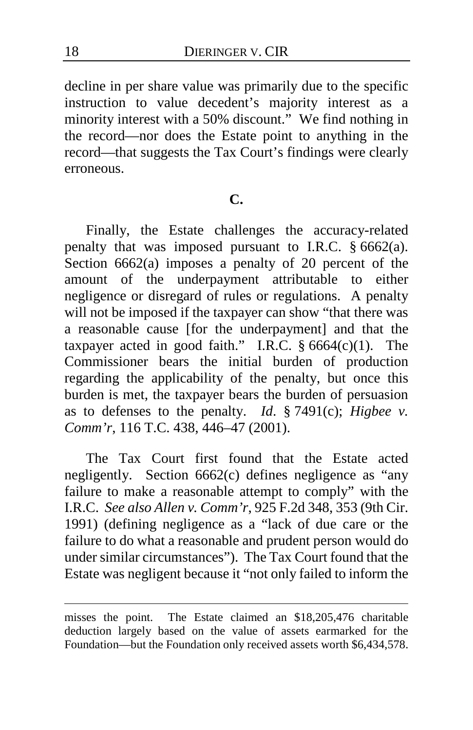decline in per share value was primarily due to the specific instruction to value decedent's majority interest as a minority interest with a 50% discount." We find nothing in the record—nor does the Estate point to anything in the record—that suggests the Tax Court's findings were clearly erroneous.

## **C.**

Finally, the Estate challenges the accuracy-related penalty that was imposed pursuant to I.R.C. § 6662(a). Section 6662(a) imposes a penalty of 20 percent of the amount of the underpayment attributable to either negligence or disregard of rules or regulations. A penalty will not be imposed if the taxpayer can show "that there was a reasonable cause [for the underpayment] and that the taxpayer acted in good faith." I.R.C.  $§ 6664(c)(1)$ . The Commissioner bears the initial burden of production regarding the applicability of the penalty, but once this burden is met, the taxpayer bears the burden of persuasion as to defenses to the penalty. *Id*. § 7491(c); *Higbee v. Comm'r*, 116 T.C. 438, 446–47 (2001).

The Tax Court first found that the Estate acted negligently. Section 6662(c) defines negligence as "any failure to make a reasonable attempt to comply" with the I.R.C. *See also Allen v. Comm'r*, 925 F.2d 348, 353 (9th Cir. 1991) (defining negligence as a "lack of due care or the failure to do what a reasonable and prudent person would do under similar circumstances"). The Tax Court found that the Estate was negligent because it "not only failed to inform the

misses the point. The Estate claimed an \$18,205,476 charitable deduction largely based on the value of assets earmarked for the Foundation—but the Foundation only received assets worth \$6,434,578.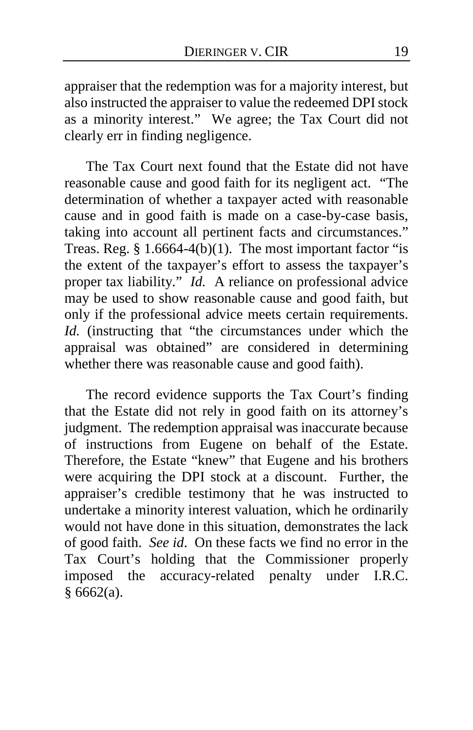appraiser that the redemption was for a majority interest, but also instructed the appraiser to value the redeemed DPI stock as a minority interest." We agree; the Tax Court did not clearly err in finding negligence.

The Tax Court next found that the Estate did not have reasonable cause and good faith for its negligent act. "The determination of whether a taxpayer acted with reasonable cause and in good faith is made on a case-by-case basis, taking into account all pertinent facts and circumstances." Treas. Reg.  $\S 1.6664-4(b)(1)$ . The most important factor "is the extent of the taxpayer's effort to assess the taxpayer's proper tax liability." *Id.* A reliance on professional advice may be used to show reasonable cause and good faith, but only if the professional advice meets certain requirements. *Id.* (instructing that "the circumstances under which the appraisal was obtained" are considered in determining whether there was reasonable cause and good faith).

The record evidence supports the Tax Court's finding that the Estate did not rely in good faith on its attorney's judgment. The redemption appraisal was inaccurate because of instructions from Eugene on behalf of the Estate. Therefore, the Estate "knew" that Eugene and his brothers were acquiring the DPI stock at a discount. Further, the appraiser's credible testimony that he was instructed to undertake a minority interest valuation, which he ordinarily would not have done in this situation, demonstrates the lack of good faith. *See id*.On these facts we find no error in the Tax Court's holding that the Commissioner properly imposed the accuracy-related penalty under I.R.C.  $§ 6662(a).$